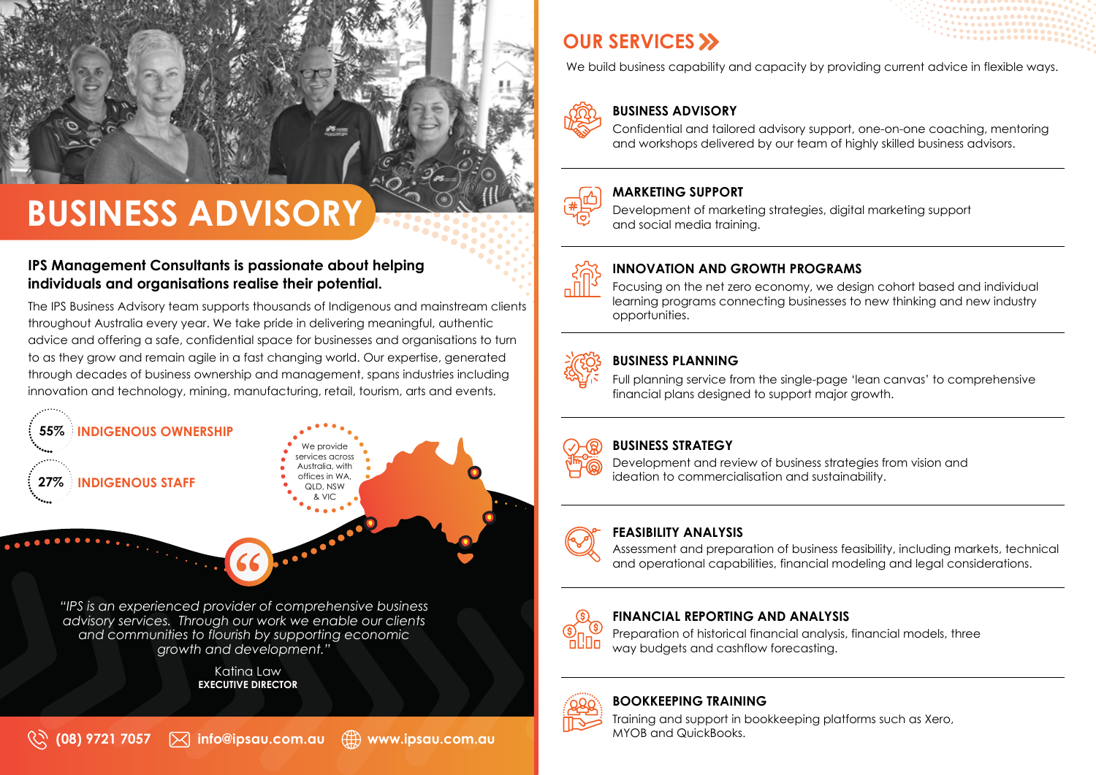# **BUSINESS ADVISORY**

## **IPS Management Consultants is passionate about helping individuals and organisations realise their potential.**

The IPS Business Advisory team supports thousands of Indigenous and mainstream clients throughout Australia every year. We take pride in delivering meaningful, authentic advice and offering a safe, confidential space for businesses and organisations to turn to as they grow and remain agile in a fast changing world. Our expertise, generated through decades of business ownership and management, spans industries including innovation and technology, mining, manufacturing, retail, tourism, arts and events.



*"IPS is an experienced provider of comprehensive business advisory services. Through our work we enable our clients and communities to flourish by supporting economic growth and development."*

> Katina Law **EXECUTIVE DIRECTOR**

# **OUR SERVICES**

We build business capability and capacity by providing current advice in flexible ways.



## **BUSINESS ADVISORY**

Confidential and tailored advisory support, one-on-one coaching, mentoring and workshops delivered by our team of highly skilled business advisors.

## **MARKETING SUPPORT**

Development of marketing strategies, digital marketing support and social media training.



### **INNOVATION AND GROWTH PROGRAMS**

Focusing on the net zero economy, we design cohort based and individual learning programs connecting businesses to new thinking and new industry opportunities.



### **BUSINESS PLANNING**

Full planning service from the single-page 'lean canvas' to comprehensive financial plans designed to support major growth.

### **BUSINESS STRATEGY**

Development and review of business strategies from vision and ideation to commercialisation and sustainability.

#### **FEASIBILITY ANALYSIS**

Assessment and preparation of business feasibility, including markets, technical and operational capabilities, financial modeling and legal considerations.



#### **FINANCIAL REPORTING AND ANALYSIS**

Preparation of historical financial analysis, financial models, three way budgets and cashflow forecasting.

## **BOOKKEEPING TRAINING**

Training and support in bookkeeping platforms such as Xero, MYOB and QuickBooks.

**(08) 9721 7057 info@ipsau.com.au www.ipsau.com.au**